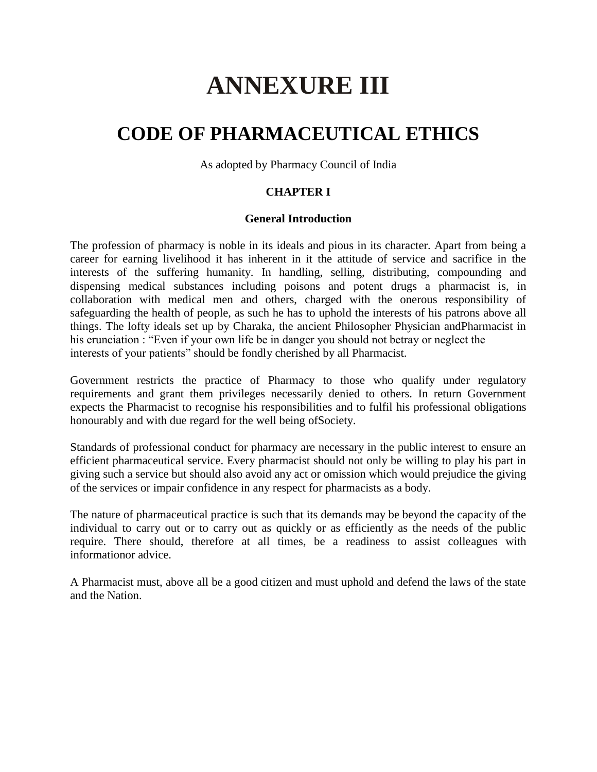# **ANNEXURE III**

# **CODE OF PHARMACEUTICAL ETHICS**

As adopted by Pharmacy Council of India

# **CHAPTER I**

#### **General Introduction**

The profession of pharmacy is noble in its ideals and pious in its character. Apart from being a career for earning livelihood it has inherent in it the attitude of service and sacrifice in the interests of the suffering humanity. In handling, selling, distributing, compounding and dispensing medical substances including poisons and potent drugs a pharmacist is, in collaboration with medical men and others, charged with the onerous responsibility of safeguarding the health of people, as such he has to uphold the interests of his patrons above all things. The lofty ideals set up by Charaka, the ancient Philosopher Physician andPharmacist in his erunciation : "Even if your own life be in danger you should not betray or neglect the interests of your patients" should be fondly cherished by all Pharmacist.

Government restricts the practice of Pharmacy to those who qualify under regulatory requirements and grant them privileges necessarily denied to others. In return Government expects the Pharmacist to recognise his responsibilities and to fulfil his professional obligations honourably and with due regard for the well being ofSociety.

Standards of professional conduct for pharmacy are necessary in the public interest to ensure an efficient pharmaceutical service. Every pharmacist should not only be willing to play his part in giving such a service but should also avoid any act or omission which would prejudice the giving of the services or impair confidence in any respect for pharmacists as a body.

The nature of pharmaceutical practice is such that its demands may be beyond the capacity of the individual to carry out or to carry out as quickly or as efficiently as the needs of the public require. There should, therefore at all times, be a readiness to assist colleagues with informationor advice.

A Pharmacist must, above all be a good citizen and must uphold and defend the laws of the state and the Nation.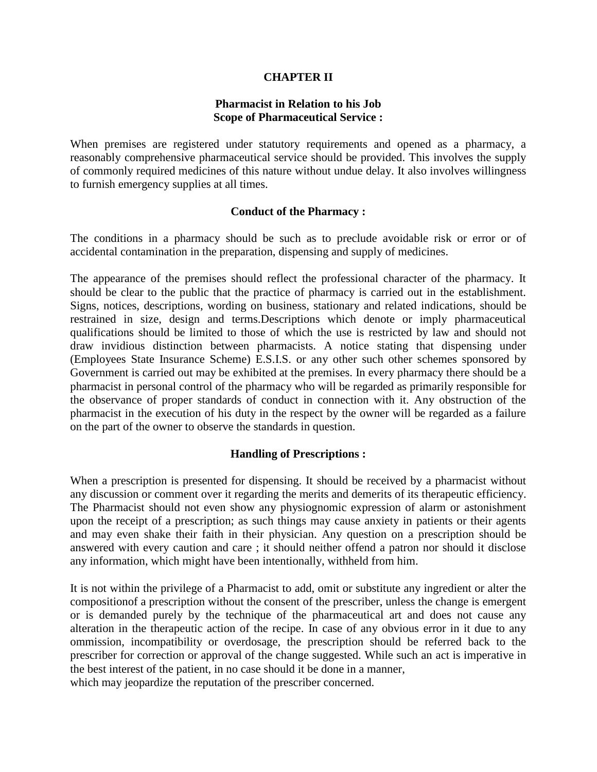# **CHAPTER II**

#### **Pharmacist in Relation to his Job Scope of Pharmaceutical Service :**

When premises are registered under statutory requirements and opened as a pharmacy, a reasonably comprehensive pharmaceutical service should be provided. This involves the supply of commonly required medicines of this nature without undue delay. It also involves willingness to furnish emergency supplies at all times.

#### **Conduct of the Pharmacy :**

The conditions in a pharmacy should be such as to preclude avoidable risk or error or of accidental contamination in the preparation, dispensing and supply of medicines.

The appearance of the premises should reflect the professional character of the pharmacy. It should be clear to the public that the practice of pharmacy is carried out in the establishment. Signs, notices, descriptions, wording on business, stationary and related indications, should be restrained in size, design and terms.Descriptions which denote or imply pharmaceutical qualifications should be limited to those of which the use is restricted by law and should not draw invidious distinction between pharmacists. A notice stating that dispensing under (Employees State Insurance Scheme) E.S.I.S. or any other such other schemes sponsored by Government is carried out may be exhibited at the premises. In every pharmacy there should be a pharmacist in personal control of the pharmacy who will be regarded as primarily responsible for the observance of proper standards of conduct in connection with it. Any obstruction of the pharmacist in the execution of his duty in the respect by the owner will be regarded as a failure on the part of the owner to observe the standards in question.

# **Handling of Prescriptions :**

When a prescription is presented for dispensing. It should be received by a pharmacist without any discussion or comment over it regarding the merits and demerits of its therapeutic efficiency. The Pharmacist should not even show any physiognomic expression of alarm or astonishment upon the receipt of a prescription; as such things may cause anxiety in patients or their agents and may even shake their faith in their physician. Any question on a prescription should be answered with every caution and care ; it should neither offend a patron nor should it disclose any information, which might have been intentionally, withheld from him.

It is not within the privilege of a Pharmacist to add, omit or substitute any ingredient or alter the compositionof a prescription without the consent of the prescriber, unless the change is emergent or is demanded purely by the technique of the pharmaceutical art and does not cause any alteration in the therapeutic action of the recipe. In case of any obvious error in it due to any ommission, incompatibility or overdosage, the prescription should be referred back to the prescriber for correction or approval of the change suggested. While such an act is imperative in the best interest of the patient, in no case should it be done in a manner,

which may jeopardize the reputation of the prescriber concerned.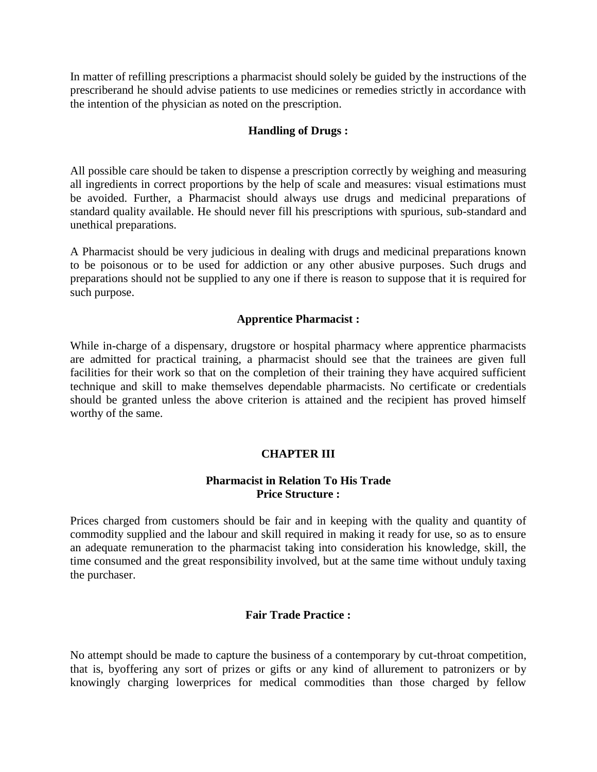In matter of refilling prescriptions a pharmacist should solely be guided by the instructions of the prescriberand he should advise patients to use medicines or remedies strictly in accordance with the intention of the physician as noted on the prescription.

# **Handling of Drugs :**

All possible care should be taken to dispense a prescription correctly by weighing and measuring all ingredients in correct proportions by the help of scale and measures: visual estimations must be avoided. Further, a Pharmacist should always use drugs and medicinal preparations of standard quality available. He should never fill his prescriptions with spurious, sub-standard and unethical preparations.

A Pharmacist should be very judicious in dealing with drugs and medicinal preparations known to be poisonous or to be used for addiction or any other abusive purposes. Such drugs and preparations should not be supplied to any one if there is reason to suppose that it is required for such purpose.

# **Apprentice Pharmacist :**

While in-charge of a dispensary, drugstore or hospital pharmacy where apprentice pharmacists are admitted for practical training, a pharmacist should see that the trainees are given full facilities for their work so that on the completion of their training they have acquired sufficient technique and skill to make themselves dependable pharmacists. No certificate or credentials should be granted unless the above criterion is attained and the recipient has proved himself worthy of the same.

# **CHAPTER III**

# **Pharmacist in Relation To His Trade Price Structure :**

Prices charged from customers should be fair and in keeping with the quality and quantity of commodity supplied and the labour and skill required in making it ready for use, so as to ensure an adequate remuneration to the pharmacist taking into consideration his knowledge, skill, the time consumed and the great responsibility involved, but at the same time without unduly taxing the purchaser.

# **Fair Trade Practice :**

No attempt should be made to capture the business of a contemporary by cut-throat competition, that is, byoffering any sort of prizes or gifts or any kind of allurement to patronizers or by knowingly charging lowerprices for medical commodities than those charged by fellow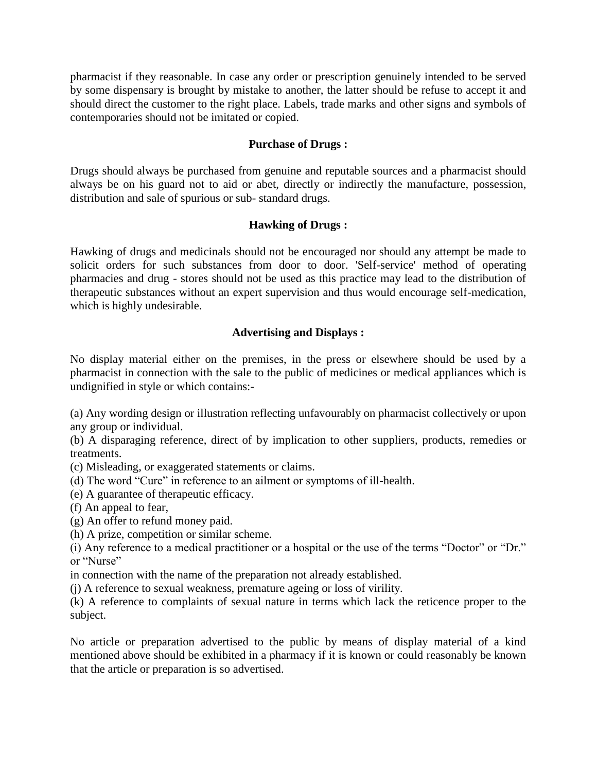pharmacist if they reasonable. In case any order or prescription genuinely intended to be served by some dispensary is brought by mistake to another, the latter should be refuse to accept it and should direct the customer to the right place. Labels, trade marks and other signs and symbols of contemporaries should not be imitated or copied.

# **Purchase of Drugs :**

Drugs should always be purchased from genuine and reputable sources and a pharmacist should always be on his guard not to aid or abet, directly or indirectly the manufacture, possession, distribution and sale of spurious or sub- standard drugs.

# **Hawking of Drugs :**

Hawking of drugs and medicinals should not be encouraged nor should any attempt be made to solicit orders for such substances from door to door. 'Self-service' method of operating pharmacies and drug - stores should not be used as this practice may lead to the distribution of therapeutic substances without an expert supervision and thus would encourage self-medication, which is highly undesirable.

# **Advertising and Displays :**

No display material either on the premises, in the press or elsewhere should be used by a pharmacist in connection with the sale to the public of medicines or medical appliances which is undignified in style or which contains:-

(a) Any wording design or illustration reflecting unfavourably on pharmacist collectively or upon any group or individual.

(b) A disparaging reference, direct of by implication to other suppliers, products, remedies or treatments.

(c) Misleading, or exaggerated statements or claims.

- (d) The word "Cure" in reference to an ailment or symptoms of ill-health.
- (e) A guarantee of therapeutic efficacy.
- (f) An appeal to fear,
- (g) An offer to refund money paid.
- (h) A prize, competition or similar scheme.
- (i) Any reference to a medical practitioner or a hospital or the use of the terms "Doctor" or "Dr." or "Nurse"
- in connection with the name of the preparation not already established.
- (j) A reference to sexual weakness, premature ageing or loss of virility.

(k) A reference to complaints of sexual nature in terms which lack the reticence proper to the subject.

No article or preparation advertised to the public by means of display material of a kind mentioned above should be exhibited in a pharmacy if it is known or could reasonably be known that the article or preparation is so advertised.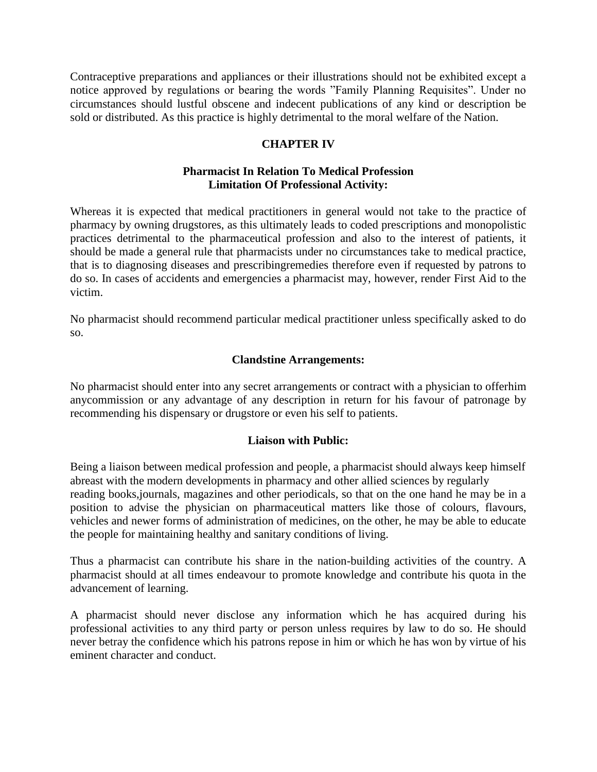Contraceptive preparations and appliances or their illustrations should not be exhibited except a notice approved by regulations or bearing the words "Family Planning Requisites". Under no circumstances should lustful obscene and indecent publications of any kind or description be sold or distributed. As this practice is highly detrimental to the moral welfare of the Nation.

# **CHAPTER IV**

# **Pharmacist In Relation To Medical Profession Limitation Of Professional Activity:**

Whereas it is expected that medical practitioners in general would not take to the practice of pharmacy by owning drugstores, as this ultimately leads to coded prescriptions and monopolistic practices detrimental to the pharmaceutical profession and also to the interest of patients, it should be made a general rule that pharmacists under no circumstances take to medical practice, that is to diagnosing diseases and prescribingremedies therefore even if requested by patrons to do so. In cases of accidents and emergencies a pharmacist may, however, render First Aid to the victim.

No pharmacist should recommend particular medical practitioner unless specifically asked to do so.

# **Clandstine Arrangements:**

No pharmacist should enter into any secret arrangements or contract with a physician to offerhim anycommission or any advantage of any description in return for his favour of patronage by recommending his dispensary or drugstore or even his self to patients.

# **Liaison with Public:**

Being a liaison between medical profession and people, a pharmacist should always keep himself abreast with the modern developments in pharmacy and other allied sciences by regularly reading books,journals, magazines and other periodicals, so that on the one hand he may be in a position to advise the physician on pharmaceutical matters like those of colours, flavours, vehicles and newer forms of administration of medicines, on the other, he may be able to educate the people for maintaining healthy and sanitary conditions of living.

Thus a pharmacist can contribute his share in the nation-building activities of the country. A pharmacist should at all times endeavour to promote knowledge and contribute his quota in the advancement of learning.

A pharmacist should never disclose any information which he has acquired during his professional activities to any third party or person unless requires by law to do so. He should never betray the confidence which his patrons repose in him or which he has won by virtue of his eminent character and conduct.